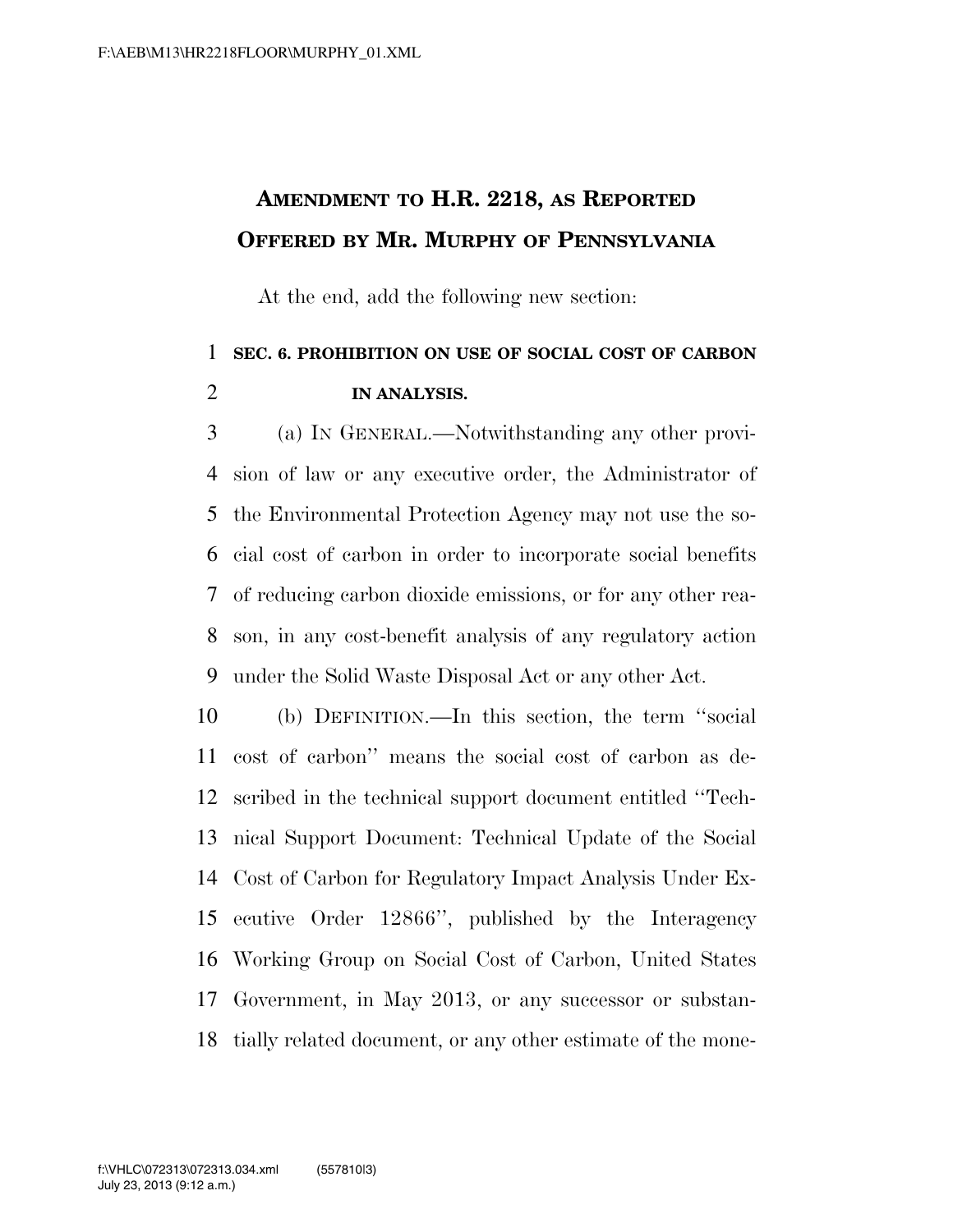## **AMENDMENT TO H.R. 2218, AS REPORTED OFFERED BY MR. MURPHY OF PENNSYLVANIA**

At the end, add the following new section:

## **SEC. 6. PROHIBITION ON USE OF SOCIAL COST OF CARBON IN ANALYSIS.**

 (a) IN GENERAL.—Notwithstanding any other provi- sion of law or any executive order, the Administrator of the Environmental Protection Agency may not use the so- cial cost of carbon in order to incorporate social benefits of reducing carbon dioxide emissions, or for any other rea- son, in any cost-benefit analysis of any regulatory action under the Solid Waste Disposal Act or any other Act.

 (b) DEFINITION.—In this section, the term ''social cost of carbon'' means the social cost of carbon as de- scribed in the technical support document entitled ''Tech- nical Support Document: Technical Update of the Social Cost of Carbon for Regulatory Impact Analysis Under Ex- ecutive Order 12866'', published by the Interagency Working Group on Social Cost of Carbon, United States Government, in May 2013, or any successor or substan-tially related document, or any other estimate of the mone-